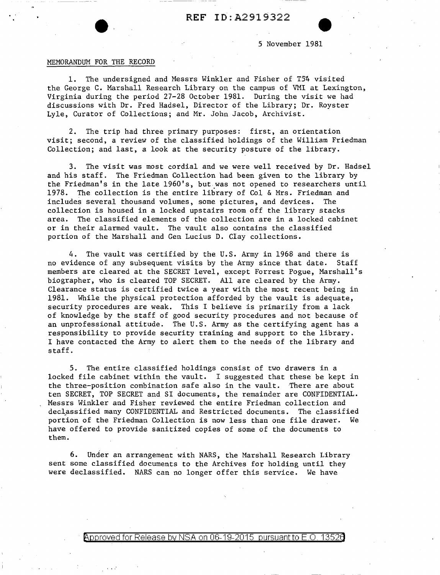5 November 1981

## MEMORANDUM FOR THE RECORD

1. The undersigned and Messrs Winkler and Fisher of T54 visited the George C. Marshall Research Library on the campus of VMI at Lexington, Virginia during the period 27-28 October 1981. During the visit we had discussions with Dr. Fred Hadsel, Director of the Library; Dr. Royster Lyle, Curator of Collections; and Mr. John Jacob, Archivist.

2. The trip had three primary purposes: first, an orientation visit; second, a review of the classified holdings of the William Friedman Collection; and last, a look at the security posture of the library.

3. The visit was most cordial and we were well received by Dr. Hadsel and his staff. The Friedman Collection had been given to the library by the Friedman's in the late 1960's, but.was not opened to researchers until 1978. The collection is the entire library of Col & Mrs. Friedman and includes several thousand volumes, some pictures, and devices. The collection is housed in a locked upstairs room off the library stacks area. The classified elements of the collection are in a locked cabinet or in their alarmed vault. The vault also contains the classified portion of the Marshall and Gen Lucius D. Clay collections.

4. The vault was certified by the U.S. Army in 1968 and there is no evidence of any subsequent visits by the Army since that date. Staff members are cleared at the SECRET level, except Forrest Pogue, Marshall's biographer, who is cleared TOP SECRET. All are cleared by the Army. Clearance status is certified twice a year with the most recent being in 1981. While the physical protection afforded by the vault is adequate, security procedures are weak. This I believe is primarily from a lack of knowledge by the staff of good security procedures and not because of an unprofessional attitude. The U.S. Army as the certifying agent has a responsibility to provide security training and support to the library. I have contacted the Army to alert them to the needs of the library and staff.

5. The entire classified holdings consist of two drawers in a locked file cabinet within the vault. I suggested that these be kept in the three-position combination safe also in the vault. There are about ten SECRET, TOP SECRET and SI documents, the remainder are CONFIDENTIAL. Messrs Winkler and Fisher reviewed the entire Friedman collection and declassified many CONFIDENTIAL and Restricted documents. The classified portion of the Friedman Collection is now less than one file drawer. We have offered to provide sanitized copies of some of the documents to them.

6. Under an arrangement with NARS, the Marshall Research Library sent some classified documents to the Archives for holding until they were declassified. NARS can no longer offer this service. We have

 $\beta$ pproved for Release by NSA on 06-19-2015 pursuant to E.O. 13526